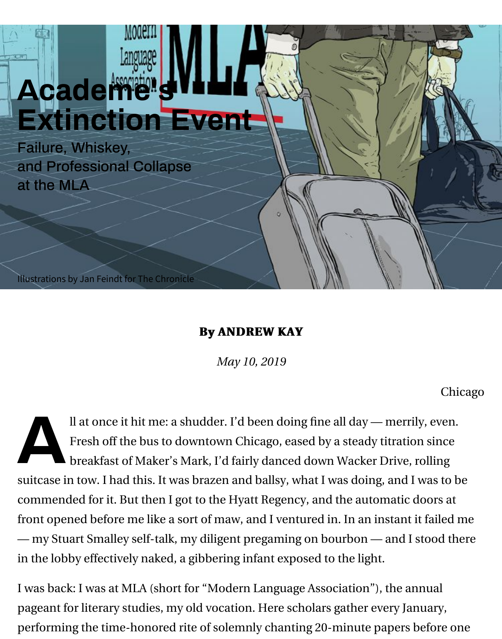# **Academe's [Extinction Event](https://www.chronicle.com/?cid=UCHETOPNAV)**

Failure, Whiskey, and Professional Collapse at the MLA

Illustrations by Jan Feindt for The Chronicle

#### **By ANDREW KAY By ANDREW KAY**

*May 10, 2019*

Il at once it hit me: a shudder. I'd been doing fine all day — merrily,<br>Fresh off the bus to downtown Chicago, eased by a steady titration<br>breakfast of Maker's Mark, I'd fairly danced down Wacker Drive, ro Fresh off the bus to downtown Chicago, eased by a steady titration breakfast of Maker's Mark, I'd fairly danced down Wacker Drive, rol suitcase in tow. I had this. It was brazen and ballsy, what I was doing, and I w commended for it. But then I got to the Hyatt Regency, and the automatic do front opened before me like a sort of maw, and I ventured in. In an instant it f — my Stuart Smalley self-talk, my diligent pregaming on bourbon — and I sto in the lobby effectively naked, a gibbering infant exposed to the light.

I was back: I was at MLA (short for "Modern Language Association"), the ann pageant for literary studies, my old vocation. Here scholars gather every Janu performing the time-honored rite of solemnly chanting 20-minute papers be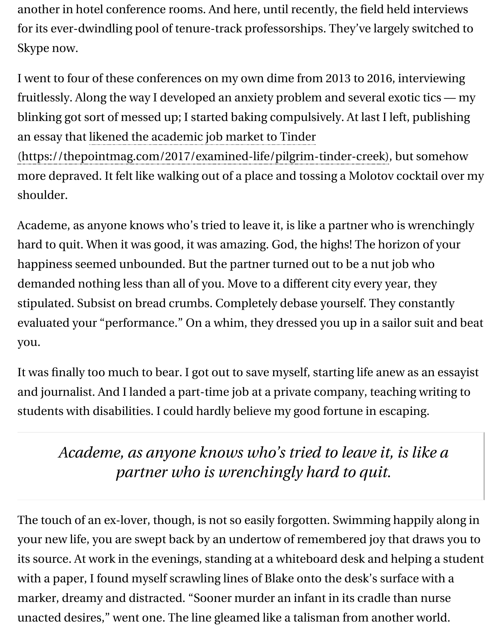fruitlessly. Along the way I developed an anxiety problem and several exotic t blinking got sort of messed up; I started baking compulsively. At last I left, pu an essay that likened the academic job market to Tinder

(https://thepointmag.com/2017/examined-life/pilgrim-tinder-creek), but so more depraved. It felt like walking out of a place and tossing a Molotov cockt shoulder.

[Academe, as anyone knows who's tried to leave it, is like a partner who](https://thepointmag.com/2017/examined-life/pilgrim-tinder-creek) is wre hard to quit. When it was good, it was amazing. God, the highs! The horizon of happiness seemed unbounded. But the partner turned out to be a nut job wh demanded nothing less than all of you. Move to a different city every year, the stipulated. Subsist on bread crumbs. Completely debase yourself. They const evaluated your "performance." On a whim, they dressed you up in a sailor su you.

It was finally too much to bear. I got out to save myself, starting life anew as a and journalist. And I landed a part-time job at a private company, teaching w students with disabilities. I could hardly believe my good fortune in escaping.

## *Academe, as anyone knows who's tried to leave it, is like academie, as anyone knows who's tried to leave it, is like partner who is wrenchingly hard to quit.*

The touch of an ex-lover, though, is not so easily forgotten. Swimming happil your new life, you are swept back by an undertow of remembered joy that draw its source. At work in the evenings, standing at a whiteboard desk and helpin with a paper, I found myself scrawling lines of Blake onto the desk's surface v marker, dreamy and distracted. "Sooner murder an infant in its cradle than n unacted desires," went one. The line gleamed like a talisman from another w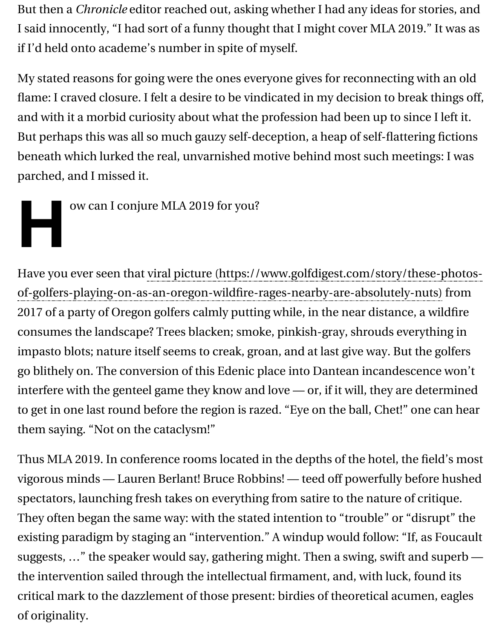flame: I craved closure. I felt a desire to be vindicated in my decision to break and with it a morbid curiosity about what the profession had been up to since But perhaps this was all so much gauzy self-deception, a heap of self-flattering beneath which lurked the real, unvarnished motive behind most such meeting parched, and I missed it.

ow can I conjure MLA 2019 for you?

Have you ever seen that viral picture (https://www.golfdigest.com/story/the: 2017 of a party of Oregon golfers calmly putting while, in the near distance, a consumes the landscape? Trees blacken; smoke, pinkish-gray, shrouds every impasto blots; nature itself seems to creak, groan, and at last give way. But th go blithely on. The conversion of this Edenic place into Dantean incandescen interfere with the genteel game they know and love  $-$  or, if it will, they are de to get in one last round before the region is razed. "Eye on the ball, Chet!" one them saying. "Not on the cataclysm!" of-golfers-playing-on-as-an-oregon-wildfire-rages-nearby-are-absolutely-nuts)

Thus MLA 2019. In conference rooms located in the depths of the hotel, the field vigorous minds — Lauren Berlant! Bruce Robbins! — teed off powerfully before spectators, launching fresh takes on everything from satire to the nature of criti They often began the same way: with the stated intention to "trouble" or "dis existing paradigm by staging an "intervention." A windup would follow: "If, a suggests, ..." the speaker would say, gathering might. Then a swing, swift and the intervention sailed through the intellectual firmament, and, with luck, for critical mark to the dazzlement of those present: birdies of theoretical acume of originality.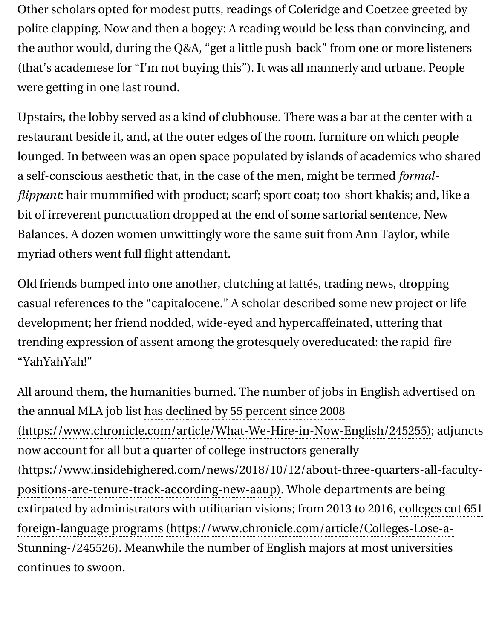were getting in one last round.

Upstairs, the lobby served as a kind of clubhouse. There was a bar at the cent restaurant beside it, and, at the outer edges of the room, furniture on which p lounged. In between was an open space populated by islands of academics w a self-conscious aesthetic that, in the case of the men, might be termed *formalflippant*: hair mummified with product; scarf; sport coat; too-short khakis; an bit of irreverent punctuation dropped at the end of some sartorial sentence, I Balances. A dozen women unwittingly wore the same suit from Ann Taylor, w myriad others went full flight attendant.

Old friends bumped into one another, clutching at lattés, trading news, drop casual references to the "capitalocene." A scholar described some new project development; her friend nodded, wide-eyed and hypercaffeinated, uttering that trending expression of assent among the grotesquely overeducated: the rapid "YahYahYah!"

All around them, the humanities burned. The number of jobs in English adve the annual MLA job list has declined by 55 percent since 2008 positions-are-tenure-track-according-new-aaup). Whole departments are be [extirpated by administrators with utilitarian visions; from 2013 to 2016,](https://www.chronicle.com/article/What-We-Hire-in-Now-English/245255) colleg Stunning-/245526). Meanwhile the number of English majors at most univers continues to swoon. (https://www.chronicle.com/article/What-We-Hire-in-Now-English/245255) now account for all but a quarter of college instructors generally (https://www.insidehighered.com/news/2018/10/12/about-three-quarters-a foreign-language programs (https://www.chronicle.com/article/Colleges-Lo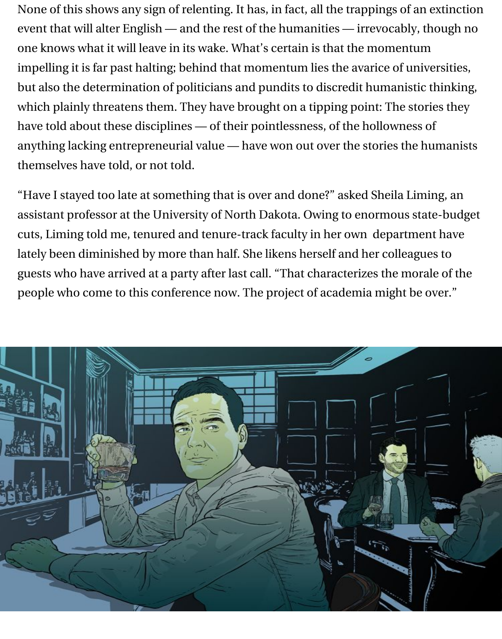None of this shows any sign of relenting. It has, in fact, all the trappings of an extinction event that will alter English — and the rest of the humanities — irrevocably, though no one knows what it will leave in its wake. What's certain is that the momentum impelling it is far past halting; behind that momentum lies the avarice of universities, but also the determination of politicians and pundits to discredit humanistic thinking, which plainly threatens them. They have brought on a tipping point: The stories they have told about these disciplines — of their pointlessness, of the hollowness of anything lacking entrepreneurial value — have won out over the stories the humanists themselves have told, or not told.

"Have I stayed too late at something that is over and done?" asked Sheila Liming, an assistant professor at the University of North Dakota. Owing to enormous state-budget cuts, Liming told me, tenured and tenure-track faculty in her own department have lately been diminished by more than half. She likens herself and her colleagues to guests who have arrived at a party after last call. "That characterizes the morale of the people who come to this conference now. The project of academia might be over."

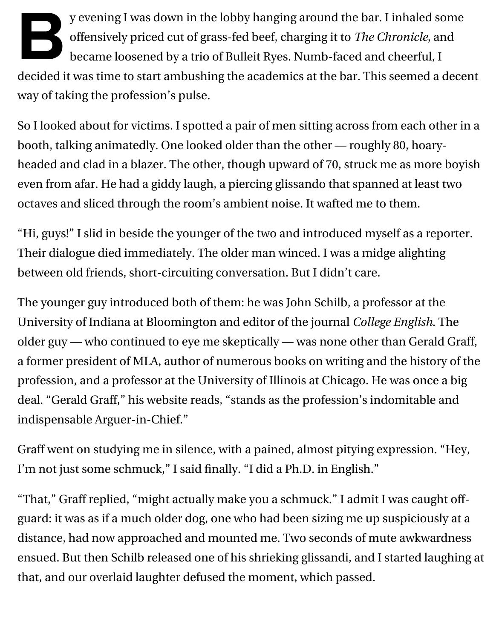**B**y evening I was down in the lobby hanging around the bar. I inhaled some offensively priced cut of grass-fed beef, charging it to *The Chronicle*, and became loosened by a trio of Bulleit Ryes. Numb-faced and cheerful, I decided it was time to start ambushing the academics at the bar. This seemed a decent way of taking the profession's pulse.

So I looked about for victims. I spotted a pair of men sitting across from each other in a booth, talking animatedly. One looked older than the other — roughly 80, hoaryheaded and clad in a blazer. The other, though upward of 70, struck me as more boyish even from afar. He had a giddy laugh, a piercing glissando that spanned at least two octaves and sliced through the room's ambient noise. It wafted me to them.

"Hi, guys!" I slid in beside the younger of the two and introduced myself as a reporter. Their dialogue died immediately. The older man winced. I was a midge alighting between old friends, short-circuiting conversation. But I didn't care.

The younger guy introduced both of them: he was John Schilb, a professor at the University of Indiana at Bloomington and editor of the journal *College English*. The older guy — who continued to eye me skeptically — was none other than Gerald Graff, a former president of MLA, author of numerous books on writing and the history of the profession, and a professor at the University of Illinois at Chicago. He was once a big deal. "Gerald Graff," his website reads, "stands as the profession's indomitable and indispensable Arguer-in-Chief."

Graff went on studying me in silence, with a pained, almost pitying expression. "Hey, I'm not just some schmuck," I said finally. "I did a Ph.D. in English."

"That," Graff replied, "might actually make you a schmuck." I admit I was caught offguard: it was as if a much older dog, one who had been sizing me up suspiciously at a distance, had now approached and mounted me. Two seconds of mute awkwardness ensued. But then Schilb released one of his shrieking glissandi, and I started laughing at that, and our overlaid laughter defused the moment, which passed.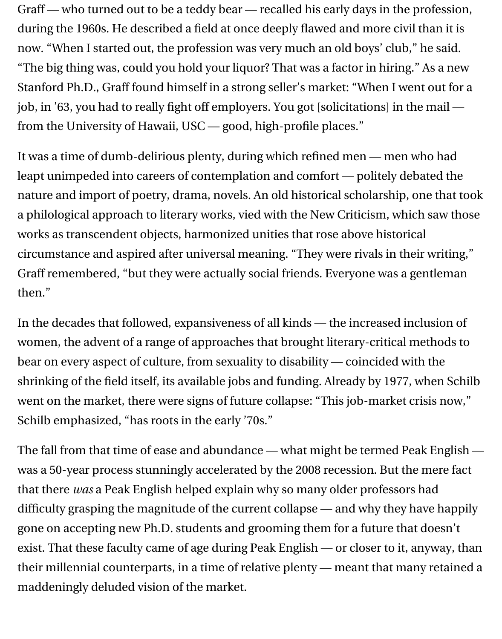Graff — who turned out to be a teddy bear — recalled his early days in the profession, during the 1960s. He described a field at once deeply flawed and more civil than it is now. "When I started out, the profession was very much an old boys' club," he said. "The big thing was, could you hold your liquor? That was a factor in hiring." As a new Stanford Ph.D., Graff found himself in a strong seller's market: "When I went out for a job, in '63, you had to really fight off employers. You got [solicitations] in the mail from the University of Hawaii, USC — good, high-profile places."

It was a time of dumb-delirious plenty, during which refined men — men who had leapt unimpeded into careers of contemplation and comfort — politely debated the nature and import of poetry, drama, novels. An old historical scholarship, one that took a philological approach to literary works, vied with the New Criticism, which saw those works as transcendent objects, harmonized unities that rose above historical circumstance and aspired after universal meaning. "They were rivals in their writing," Graff remembered, "but they were actually social friends. Everyone was a gentleman then."

In the decades that followed, expansiveness of all kinds — the increased inclusion of women, the advent of a range of approaches that brought literary-critical methods to bear on every aspect of culture, from sexuality to disability — coincided with the shrinking of the field itself, its available jobs and funding. Already by 1977, when Schilb went on the market, there were signs of future collapse: "This job-market crisis now," Schilb emphasized, "has roots in the early '70s."

The fall from that time of ease and abundance — what might be termed Peak English was a 50-year process stunningly accelerated by the 2008 recession. But the mere fact that there *was* a Peak English helped explain why so many older professors had difficulty grasping the magnitude of the current collapse — and why they have happily gone on accepting new Ph.D. students and grooming them for a future that doesn't exist. That these faculty came of age during Peak English — or closer to it, anyway, than their millennial counterparts, in a time of relative plenty — meant that many retained a maddeningly deluded vision of the market.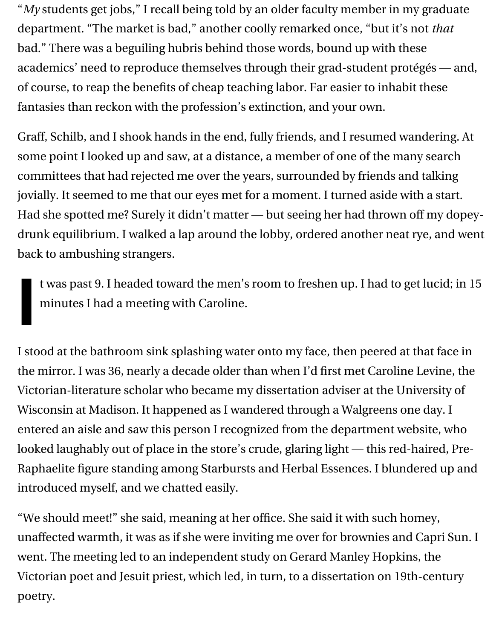"*My* students get jobs," I recall being told by an older faculty member in my graduate department. "The market is bad," another coolly remarked once, "but it's not *that* bad." There was a beguiling hubris behind those words, bound up with these academics' need to reproduce themselves through their grad-student protégés — and, of course, to reap the benefits of cheap teaching labor. Far easier to inhabit these fantasies than reckon with the profession's extinction, and your own.

Graff, Schilb, and I shook hands in the end, fully friends, and I resumed wandering. At some point I looked up and saw, at a distance, a member of one of the many search committees that had rejected me over the years, surrounded by friends and talking jovially. It seemed to me that our eyes met for a moment. I turned aside with a start. Had she spotted me? Surely it didn't matter — but seeing her had thrown off my dopeydrunk equilibrium. I walked a lap around the lobby, ordered another neat rye, and went back to ambushing strangers.

t was past 9. I headed toward the men's room to freshen up. I had to get lucid; in 15 minutes I had a meeting with Caroline.

**I**

I stood at the bathroom sink splashing water onto my face, then peered at that face in the mirror. I was 36, nearly a decade older than when I'd first met Caroline Levine, the Victorian-literature scholar who became my dissertation adviser at the University of Wisconsin at Madison. It happened as I wandered through a Walgreens one day. I entered an aisle and saw this person I recognized from the department website, who looked laughably out of place in the store's crude, glaring light — this red-haired, Pre-Raphaelite figure standing among Starbursts and Herbal Essences. I blundered up and introduced myself, and we chatted easily.

"We should meet!" she said, meaning at her office. She said it with such homey, unaffected warmth, it was as if she were inviting me over for brownies and Capri Sun. I went. The meeting led to an independent study on Gerard Manley Hopkins, the Victorian poet and Jesuit priest, which led, in turn, to a dissertation on 19th-century poetry.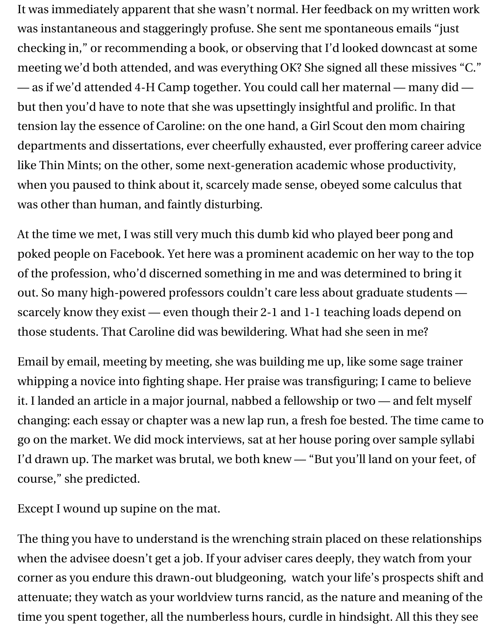It was immediately apparent that she wasn't normal. Her feedback on my written work was instantaneous and staggeringly profuse. She sent me spontaneous emails "just checking in," or recommending a book, or observing that I'd looked downcast at some meeting we'd both attended, and was everything OK? She signed all these missives "C." — as if we'd attended 4-H Camp together. You could call her maternal — many did but then you'd have to note that she was upsettingly insightful and prolific. In that tension lay the essence of Caroline: on the one hand, a Girl Scout den mom chairing departments and dissertations, ever cheerfully exhausted, ever proffering career advice like Thin Mints; on the other, some next-generation academic whose productivity, when you paused to think about it, scarcely made sense, obeyed some calculus that was other than human, and faintly disturbing.

At the time we met, I was still very much this dumb kid who played beer pong and poked people on Facebook. Yet here was a prominent academic on her way to the top of the profession, who'd discerned something in me and was determined to bring it out. So many high-powered professors couldn't care less about graduate students scarcely know they exist — even though their 2-1 and 1-1 teaching loads depend on those students. That Caroline did was bewildering. What had she seen in me?

Email by email, meeting by meeting, she was building me up, like some sage trainer whipping a novice into fighting shape. Her praise was transfiguring; I came to believe it. I landed an article in a major journal, nabbed a fellowship or two — and felt myself changing: each essay or chapter was a new lap run, a fresh foe bested. The time came to go on the market. We did mock interviews, sat at her house poring over sample syllabi I'd drawn up. The market was brutal, we both knew — "But you'll land on your feet, of course," she predicted.

Except I wound up supine on the mat.

The thing you have to understand is the wrenching strain placed on these relationships when the advisee doesn't get a job. If your adviser cares deeply, they watch from your corner as you endure this drawn-out bludgeoning, watch your life's prospects shift and attenuate; they watch as your worldview turns rancid, as the nature and meaning of the time you spent together, all the numberless hours, curdle in hindsight. All this they see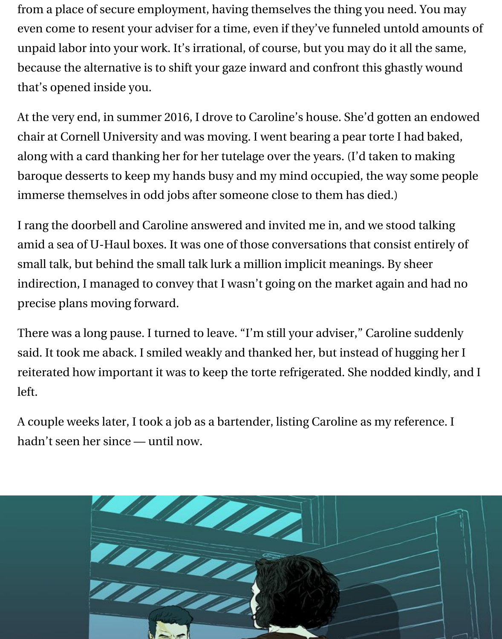from a place of secure employment, having themselves the thing you need. You may even come to resent your adviser for a time, even if they've funneled untold amounts of unpaid labor into your work. It's irrational, of course, but you may do it all the same, because the alternative is to shift your gaze inward and confront this ghastly wound that's opened inside you.

At the very end, in summer 2016, I drove to Caroline's house. She'd gotten an endowed chair at Cornell University and was moving. I went bearing a pear torte I had baked, along with a card thanking her for her tutelage over the years. (I'd taken to making baroque desserts to keep my hands busy and my mind occupied, the way some people immerse themselves in odd jobs after someone close to them has died.)

I rang the doorbell and Caroline answered and invited me in, and we stood talking amid a sea of U-Haul boxes. It was one of those conversations that consist entirely of small talk, but behind the small talk lurk a million implicit meanings. By sheer indirection, I managed to convey that I wasn't going on the market again and had no precise plans moving forward.

There was a long pause. I turned to leave. "I'm still your adviser," Caroline suddenly said. It took me aback. I smiled weakly and thanked her, but instead of hugging her I reiterated how important it was to keep the torte refrigerated. She nodded kindly, and I left.

A couple weeks later, I took a job as a bartender, listing Caroline as my reference. I hadn't seen her since — until now.

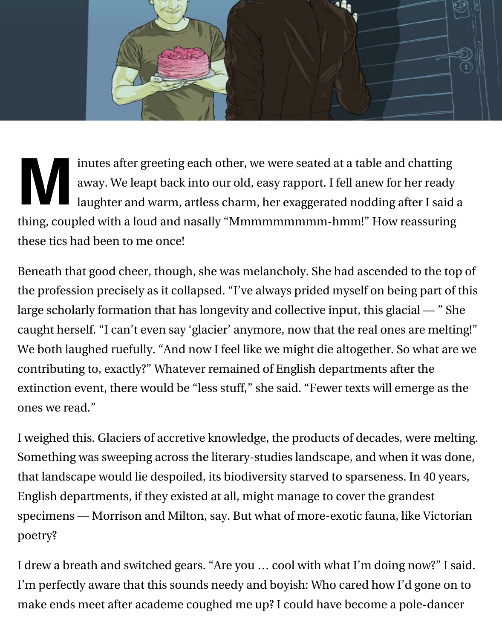

inutes after greeting each other, we were seated at a table and chatting<br>away. We leapt back into our old, easy rapport. I fell anew for her ready<br>laughter and warm, artless charm, her exaggerated nodding after I said<br>in t away. We leapt back into our old, easy rapport. I fell anew for her ready laughter and warm, artless charm, her exaggerated nodding after I said a thing, coupled with a loud and nasally "Mmmmmmmmm-hmm!" How reassuring these tics had been to me once!

Beneath that good cheer, though, she was melancholy. She had ascended to the top of the profession precisely as it collapsed. "I've always prided myself on being part of this large scholarly formation that has longevity and collective input, this glacial — " She caught herself. "I can't even say 'glacier' anymore, now that the real ones are melting!" We both laughed ruefully. "And now I feel like we might die altogether. So what are we contributing to, exactly?" Whatever remained of English departments after the extinction event, there would be "less stuff," she said. "Fewer texts will emerge as the ones we read."

I weighed this. Glaciers of accretive knowledge, the products of decades, were melting. Something was sweeping across the literary-studies landscape, and when it was done, that landscape would lie despoiled, its biodiversity starved to sparseness. In 40 years, English departments, if they existed at all, might manage to cover the grandest specimens — Morrison and Milton, say. But what of more-exotic fauna, like Victorian poetry?

I drew a breath and switched gears. "Are you … cool with what I'm doing now?" I said. I'm perfectly aware that this sounds needy and boyish: Who cared how I'd gone on to make ends meet after academe coughed me up? I could have become a pole-dancer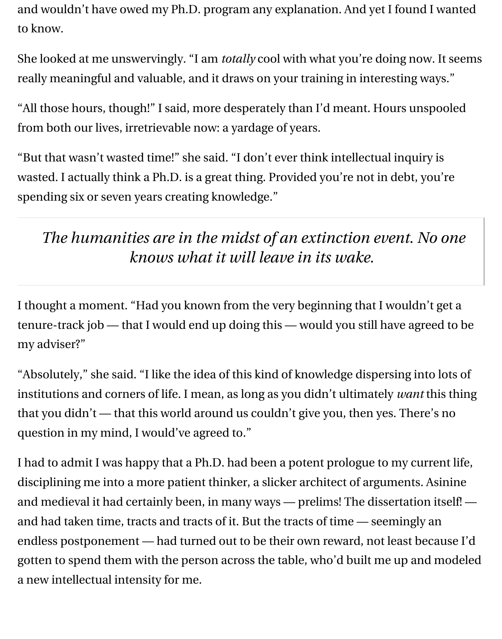and wouldn't have owed my Ph.D. program any explanation. And yet I found I wanted to know.

She looked at me unswervingly. "I am *totally* cool with what you're doing now. It seems really meaningful and valuable, and it draws on your training in interesting ways."

"All those hours, though!" I said, more desperately than I'd meant. Hours unspooled from both our lives, irretrievable now: a yardage of years.

"But that wasn't wasted time!" she said. "I don't ever think intellectual inquiry is wasted. I actually think a Ph.D. is a great thing. Provided you're not in debt, you're spending six or seven years creating knowledge."

## *The humanities are in the midst of an extinction event. No one knows what it will leave in its wake.*

I thought a moment. "Had you known from the very beginning that I wouldn't get a tenure-track job — that I would end up doing this — would you still have agreed to be my adviser?"

"Absolutely," she said. "I like the idea of this kind of knowledge dispersing into lots of institutions and corners of life. I mean, as long as you didn't ultimately *want* this thing that you didn't — that this world around us couldn't give you, then yes. There's no question in my mind, I would've agreed to."

I had to admit I was happy that a Ph.D. had been a potent prologue to my current life, disciplining me into a more patient thinker, a slicker architect of arguments. Asinine and medieval it had certainly been, in many ways — prelims! The dissertation itself! and had taken time, tracts and tracts of it. But the tracts of time — seemingly an endless postponement — had turned out to be their own reward, not least because I'd gotten to spend them with the person across the table, who'd built me up and modeled a new intellectual intensity for me.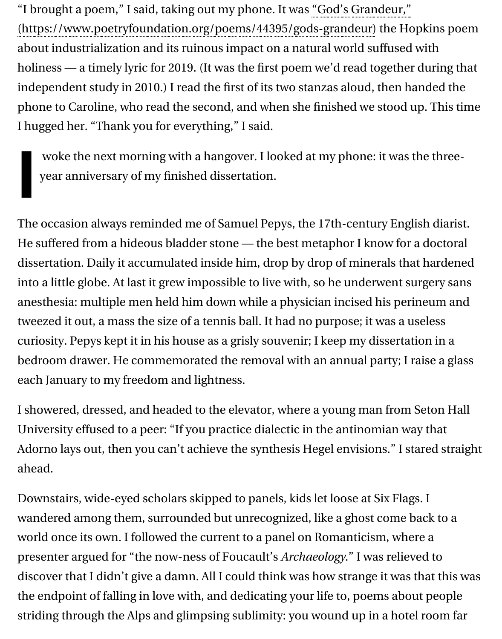independent study in 2010.) I read the first of its two stanzas aloud, then handed the [phone to Caroline, who read the second, and when she](https://www.poetryfoundation.org/poems/44395/gods-grandeur) finished we stood up. I hugged her. "Thank you for everything," I said.

woke the next morning with a hangover. I looked at my phone: it was the year anniversary of my finished dissertation.

**I**

The occasion always reminded me of Samuel Pepys, the 17th-century English He suffered from a hideous bladder stone — the best metaphor I know for a doctoral dissertation. Daily it accumulated inside him, drop by drop of minerals that hardened into a little globe. At last it grew impossible to live with, so he underwent surg anesthesia: multiple men held him down while a physician incised his perine tweezed it out, a mass the size of a tennis ball. It had no purpose; it was a use curiosity. Pepys kept it in his house as a grisly souvenir; I keep my dissertation bedroom drawer. He commemorated the removal with an annual party; I rais each January to my freedom and lightness.

I showered, dressed, and headed to the elevator, where a young man from Se University effused to a peer: "If you practice dialectic in the antinomian way that Adorno lays out, then you can't achieve the synthesis Hegel envisions." I star ahead.

Downstairs, wide-eyed scholars skipped to panels, kids let loose at Six Flags. wandered among them, surrounded but unrecognized, like a ghost come bac world once its own. I followed the current to a panel on Romanticism, where presenter argued for "the now-ness of Foucault's *Archaeology*." I was relieved discover that I didn't give a damn. All I could think was how strange it was that the endpoint of falling in love with, and dedicating your life to, poems about striding through the Alps and glimpsing sublimity: you wound up in a hotel r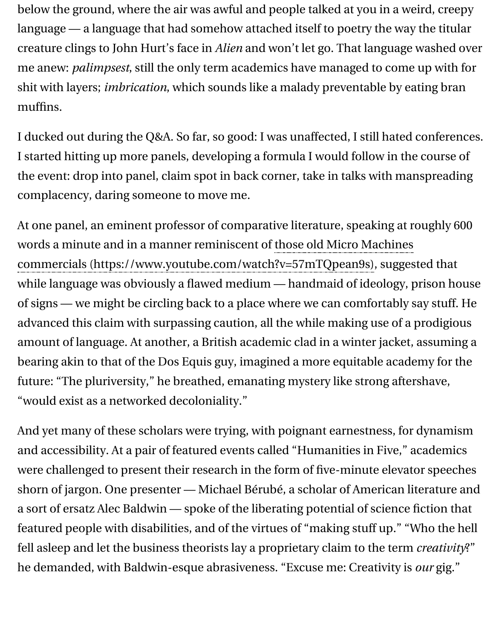shit with layers; , which sounds like a malady preventable by eating bran *imbrication* muffins.

I ducked out during the Q&A. So far, so good: I was unaffected, I still hated co I started hitting up more panels, developing a formula I would follow in the c the event: drop into panel, claim spot in back corner, take in talks with mans complacency, daring someone to move me.

At one panel, an eminent professor of comparative literature, speaking at rought words a minute and in a manner reminiscent of those old Micro Machines commercials (https://www.youtube.com/watch?v=57mTQpean9s), suggeste while language was obviously a flawed medium - handmaid of ideology, pri of signs — we might be circling back to a place where we can comfortably say advanced this claim with surpassing caution, all the while making use of a pr [amount of language. At another, a British academic clad in a winter jacket,](https://www.youtube.com/watch?v=57mTQpean9s) as bearing akin to that of the Dos Equis guy, imagined a more equitable academ future: "The pluriversity," he breathed, emanating mystery like strong aftersh "would exist as a networked decoloniality."

And yet many of these scholars were trying, with poignant earnestness, for dy and accessibility. At a pair of featured events called "Humanities in Five," aca were challenged to present their research in the form of five-minute elevator shorn of jargon. One presenter — Michael Bérubé, a scholar of American literature and a sort of ersatz Alec Baldwin — spoke of the liberating potential of science fic featured people with disabilities, and of the virtues of "making stuff up." "Wh fell asleep and let the business theorists lay a proprietary claim to the term  $cr$ he demanded, with Baldwin-esque abrasiveness. "Excuse me: Creativity is  $ou$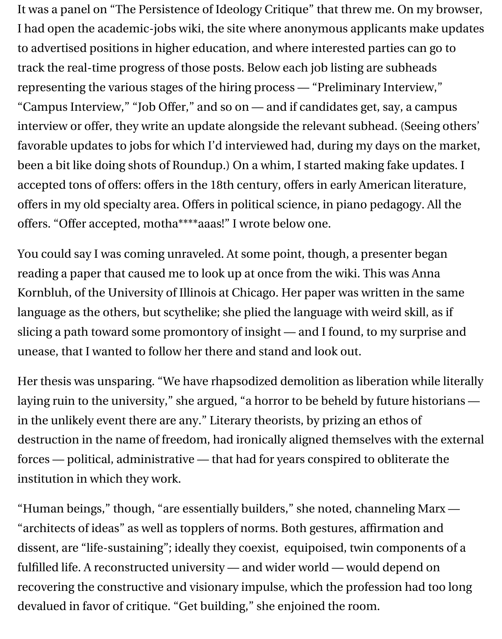It was a panel on "The Persistence of Ideology Critique" that threw me. On my browser, I had open the academic-jobs wiki, the site where anonymous applicants make updates to advertised positions in higher education, and where interested parties can go to track the real-time progress of those posts. Below each job listing are subheads representing the various stages of the hiring process — "Preliminary Interview," "Campus Interview," "Job Offer," and so on — and if candidates get, say, a campus interview or offer, they write an update alongside the relevant subhead. (Seeing others' favorable updates to jobs for which I'd interviewed had, during my days on the market, been a bit like doing shots of Roundup.) On a whim, I started making fake updates. I accepted tons of offers: offers in the 18th century, offers in early American literature, offers in my old specialty area. Offers in political science, in piano pedagogy. All the offers. "Offer accepted, motha\*\*\*\*aaas!" I wrote below one.

You could say I was coming unraveled. At some point, though, a presenter began reading a paper that caused me to look up at once from the wiki. This was Anna Kornbluh, of the University of Illinois at Chicago. Her paper was written in the same language as the others, but scythelike; she plied the language with weird skill, as if slicing a path toward some promontory of insight — and I found, to my surprise and unease, that I wanted to follow her there and stand and look out.

Her thesis was unsparing. "We have rhapsodized demolition as liberation while literally laying ruin to the university," she argued, "a horror to be beheld by future historians in the unlikely event there are any." Literary theorists, by prizing an ethos of destruction in the name of freedom, had ironically aligned themselves with the external forces — political, administrative — that had for years conspired to obliterate the institution in which they work.

"Human beings," though, "are essentially builders," she noted, channeling Marx — "architects of ideas" as well as topplers of norms. Both gestures, affirmation and dissent, are "life-sustaining"; ideally they coexist, equipoised, twin components of a fulfilled life. A reconstructed university — and wider world — would depend on recovering the constructive and visionary impulse, which the profession had too long devalued in favor of critique. "Get building," she enjoined the room.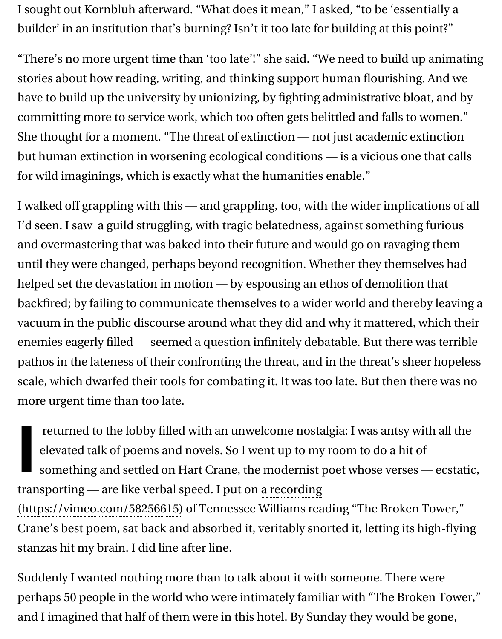have to build up the university by unionizing, by fighting administrative bloa committing more to service work, which too often gets belittled and falls to w She thought for a moment. "The threat of extinction — not just academic ext but human extinction in worsening ecological conditions - is a vicious one to for wild imaginings, which is exactly what the humanities enable."

I walked off grappling with this — and grappling, too, with the wider implicat I'd seen. I saw a guild struggling, with tragic belatedness, against something and overmastering that was baked into their future and would go on ravaging until they were changed, perhaps beyond recognition. Whether they themsel helped set the devastation in motion — by espousing an ethos of demolition backfired; by failing to communicate themselves to a wider world and thereb vacuum in the public discourse around what they did and why it mattered, w enemies eagerly filled — seemed a question infinitely debatable. But there was pathos in the lateness of their confronting the threat, and in the threat's shee scale, which dwarfed their tools for combating it. It was too late. But then the more urgent time than too late.

**I** returned to the lobby filled with an unwelcome nostalgia: I was antsy with elevated talk of poems and novels. So I went up to my room to do a hit of something and settled on Hart Crane, the modernist poet whose verses transporting — are like verbal speed. I put on a recording (https://vimeo.com/58256615) of Tennessee Williams reading "The Broken T

Crane's best poem, sat back and absorbed it, veritably snorted it, letting its hi stanzas hit my brain. I did line after line.

Suddenly I wanted nothing more than to talk about it with someone. There w [perhaps 50 people in the world who were intimately famil](https://vimeo.com/58256615)iar with "The Broke and I imagined that half of them were in this hotel. By Sunday they would be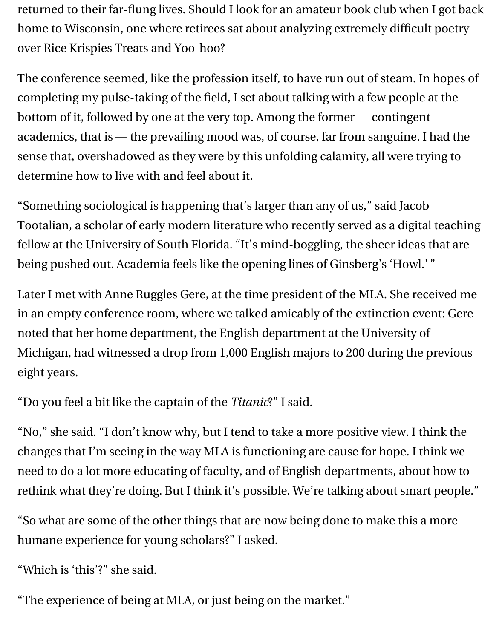returned to their far-flung lives. Should I look for an amateur book club when I got back home to Wisconsin, one where retirees sat about analyzing extremely difficult poetry over Rice Krispies Treats and Yoo-hoo?

The conference seemed, like the profession itself, to have run out of steam. In hopes of completing my pulse-taking of the field, I set about talking with a few people at the bottom of it, followed by one at the very top. Among the former — contingent academics, that is — the prevailing mood was, of course, far from sanguine. I had the sense that, overshadowed as they were by this unfolding calamity, all were trying to determine how to live with and feel about it.

"Something sociological is happening that's larger than any of us," said Jacob Tootalian, a scholar of early modern literature who recently served as a digital teaching fellow at the University of South Florida. "It's mind-boggling, the sheer ideas that are being pushed out. Academia feels like the opening lines of Ginsberg's 'Howl.' "

Later I met with Anne Ruggles Gere, at the time president of the MLA. She received me in an empty conference room, where we talked amicably of the extinction event: Gere noted that her home department, the English department at the University of Michigan, had witnessed a drop from 1,000 English majors to 200 during the previous eight years.

"Do you feel a bit like the captain of the *Titanic*?" I said.

"No," she said. "I don't know why, but I tend to take a more positive view. I think the changes that I'm seeing in the way MLA is functioning are cause for hope. I think we need to do a lot more educating of faculty, and of English departments, about how to rethink what they're doing. But I think it's possible. We're talking about smart people."

"So what are some of the other things that are now being done to make this a more humane experience for young scholars?" I asked.

"Which is 'this'?" she said.

"The experience of being at MLA, or just being on the market."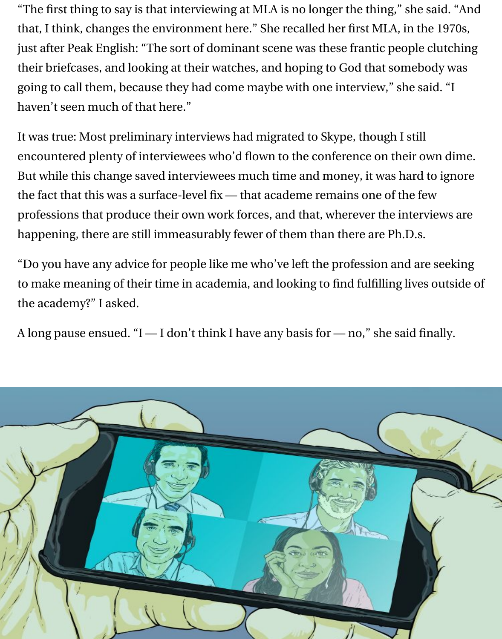"The first thing to say is that interviewing at MLA is no longer the thing," she said. "And that, I think, changes the environment here." She recalled her first MLA, in the 1970s, just after Peak English: "The sort of dominant scene was these frantic people clutching their briefcases, and looking at their watches, and hoping to God that somebody was going to call them, because they had come maybe with one interview," she said. "I haven't seen much of that here."

It was true: Most preliminary interviews had migrated to Skype, though I still encountered plenty of interviewees who'd flown to the conference on their own dime. But while this change saved interviewees much time and money, it was hard to ignore the fact that this was a surface-level fix — that academe remains one of the few professions that produce their own work forces, and that, wherever the interviews are happening, there are still immeasurably fewer of them than there are Ph.D.s.

"Do you have any advice for people like me who've left the profession and are seeking to make meaning of their time in academia, and looking to find fulfilling lives outside of the academy?" I asked.

A long pause ensued. "I — I don't think I have any basis for — no," she said finally.

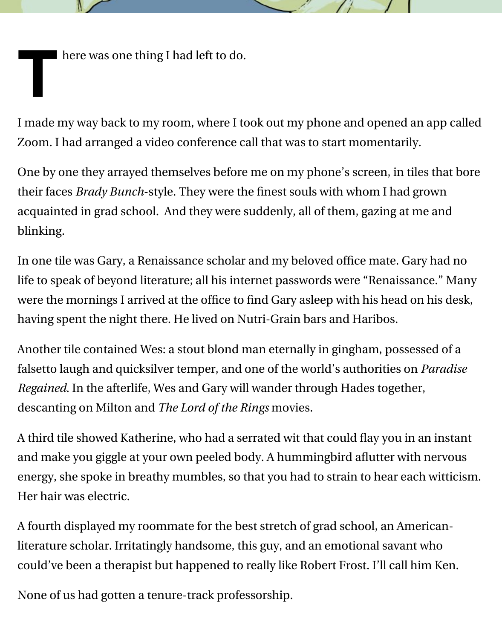**I** here was one thing I had left to do.

I made my way back to my room, where I took out my phone and opened an app called Zoom. I had arranged a video conference call that was to start momentarily.

One by one they arrayed themselves before me on my phone's screen, in tiles that bore their faces *Brady Bunch*-style. They were the finest souls with whom I had grown acquainted in grad school. And they were suddenly, all of them, gazing at me and blinking.

In one tile was Gary, a Renaissance scholar and my beloved office mate. Gary had no life to speak of beyond literature; all his internet passwords were "Renaissance." Many were the mornings I arrived at the office to find Gary asleep with his head on his desk, having spent the night there. He lived on Nutri-Grain bars and Haribos.

Another tile contained Wes: a stout blond man eternally in gingham, possessed of a falsetto laugh and quicksilver temper, and one of the world's authorities on *Paradise* Regained. In the afterlife, Wes and Gary will wander through Hades together, descanting on Milton and *The Lord of the Rings* movies.

A third tile showed Katherine, who had a serrated wit that could flay you in an instant and make you giggle at your own peeled body. A hummingbird aflutter with nervous energy, she spoke in breathy mumbles, so that you had to strain to hear each witticism. Her hair was electric.

A fourth displayed my roommate for the best stretch of grad school, an Americanliterature scholar. Irritatingly handsome, this guy, and an emotional savant who could've been a therapist but happened to really like Robert Frost. I'll call him Ken.

None of us had gotten a tenure-track professorship.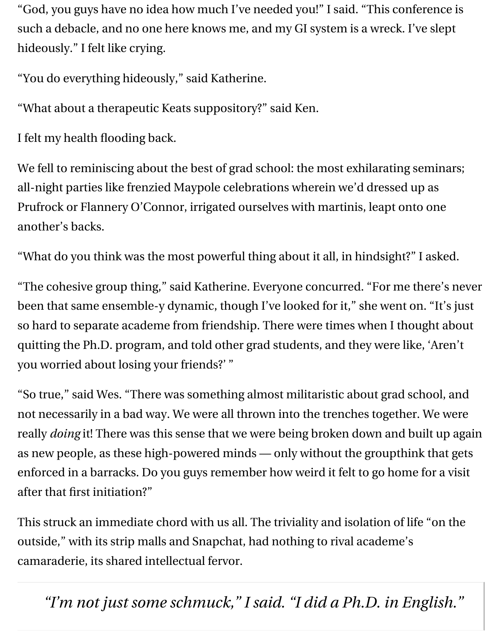"God, you guys have no idea how much I've needed you!" I said. "This conference is such a debacle, and no one here knows me, and my GI system is a wreck. I've slept hideously." I felt like crying.

"You do everything hideously," said Katherine.

"What about a therapeutic Keats suppository?" said Ken.

I felt my health flooding back.

We fell to reminiscing about the best of grad school: the most exhilarating seminars; all-night parties like frenzied Maypole celebrations wherein we'd dressed up as Prufrock or Flannery O'Connor, irrigated ourselves with martinis, leapt onto one another's backs.

"What do you think was the most powerful thing about it all, in hindsight?" I asked.

"The cohesive group thing," said Katherine. Everyone concurred. "For me there's never been that same ensemble-y dynamic, though I've looked for it," she went on. "It's just so hard to separate academe from friendship. There were times when I thought about quitting the Ph.D. program, and told other grad students, and they were like, 'Aren't you worried about losing your friends?' "

"So true," said Wes. "There was something almost militaristic about grad school, and not necessarily in a bad way. We were all thrown into the trenches together. We were really *doing* it! There was this sense that we were being broken down and built up again as new people, as these high-powered minds — only without the groupthink that gets enforced in a barracks. Do you guys remember how weird it felt to go home for a visit after that first initiation?"

This struck an immediate chord with us all. The triviality and isolation of life "on the outside," with its strip malls and Snapchat, had nothing to rival academe's camaraderie, its shared intellectual fervor.

*"I'm not just some schmuck," I said. "I did a Ph.D. in English."*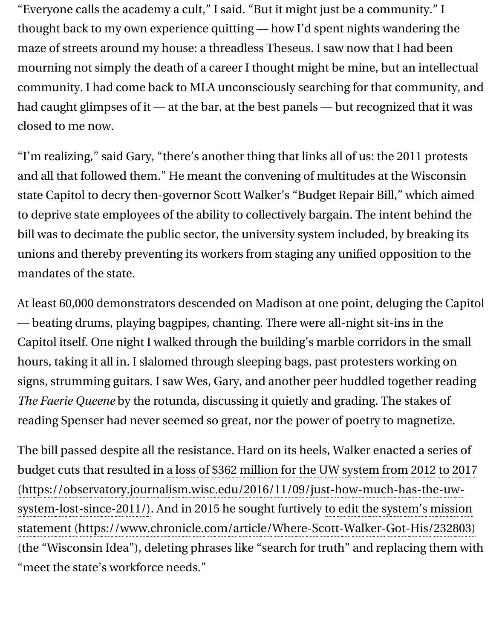community. I had come back to MLA unconsciously searching for that community, and had caught glimpses of it  $-$  at the bar, at the best panels  $-$  but recognized that it was closed to me now.

"I'm realizing," said Gary, "there's another thing that links all of us: the 2011 protests. and all that followed them." He meant the convening of multitudes at the Wi state Capitol to decry then-governor Scott Walker's "Budget Repair Bill," which to deprive state employees of the ability to collectively bargain. The intent be bill was to decimate the public sector, the university system included, by breaking its its its its interunions and thereby preventing its workers from staging any unified opposition mandates of the state.

At least 60,000 demonstrators descended on Madison at one point, deluging — beating drums, playing bagpipes, chanting. There were all-night sit-ins in Capitol itself. One night I walked through the building's marble corridors in t hours, taking it all in. I slalomed through sleeping bags, past protesters worki signs, strumming guitars. I saw Wes, Gary, and another peer huddled together *The Faerie Queene* by the rotunda, discussing it quietly and grading. The stake reading Spenser had never seemed so great, nor the power of poetry to magn

The bill passed despite all the resistance. Hard on its heels, Walker enacted a budget cuts that resulted in a loss of \$362 million for the UW system from 201 system-lost-since-2011/). And in 2015 he sought furtively to edit the system's (the "Wisconsin Idea"), deleting phrases like "search for truth" and replacing ["meet the state's workforce needs."](https://observatory.journalism.wisc.edu/2016/11/09/just-how-much-has-the-uw-system-lost-since-2011/) (https://observatory.journalism.wisc.edu/2016/11/09/just-how-much-has-t statement (https://www.chronicle.com/article/Where-Scott-Walker-Got-His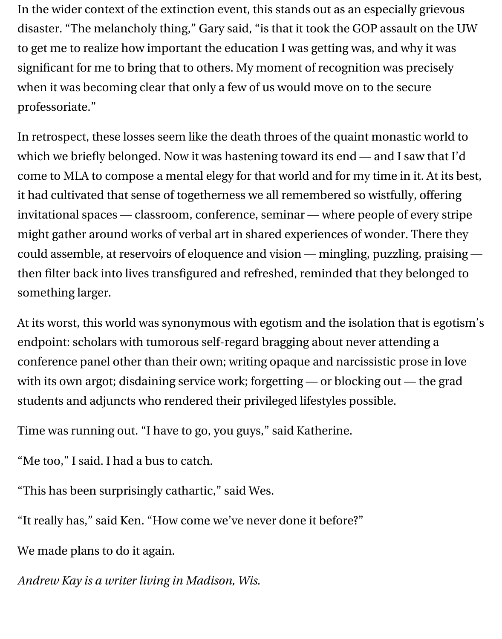In the wider context of the extinction event, this stands out as an especially grievous disaster. "The melancholy thing," Gary said, "is that it took the GOP assault on the UW to get me to realize how important the education I was getting was, and why it was significant for me to bring that to others. My moment of recognition was precisely when it was becoming clear that only a few of us would move on to the secure professoriate."

In retrospect, these losses seem like the death throes of the quaint monastic world to which we briefly belonged. Now it was hastening toward its end — and I saw that I'd come to MLA to compose a mental elegy for that world and for my time in it. At its best, it had cultivated that sense of togetherness we all remembered so wistfully, offering invitational spaces — classroom, conference, seminar — where people of every stripe might gather around works of verbal art in shared experiences of wonder. There they could assemble, at reservoirs of eloquence and vision — mingling, puzzling, praising then filter back into lives transfigured and refreshed, reminded that they belonged to something larger.

At its worst, this world was synonymous with egotism and the isolation that is egotism's endpoint: scholars with tumorous self-regard bragging about never attending a conference panel other than their own; writing opaque and narcissistic prose in love with its own argot; disdaining service work; forgetting — or blocking out — the grad students and adjuncts who rendered their privileged lifestyles possible.

Time was running out. "I have to go, you guys," said Katherine.

"Me too," I said. I had a bus to catch.

"This has been surprisingly cathartic," said Wes.

"It really has," said Ken. "How come we've never done it before?"

We made plans to do it again.

*Andrew Kay is a writer living in Madison, Wis.*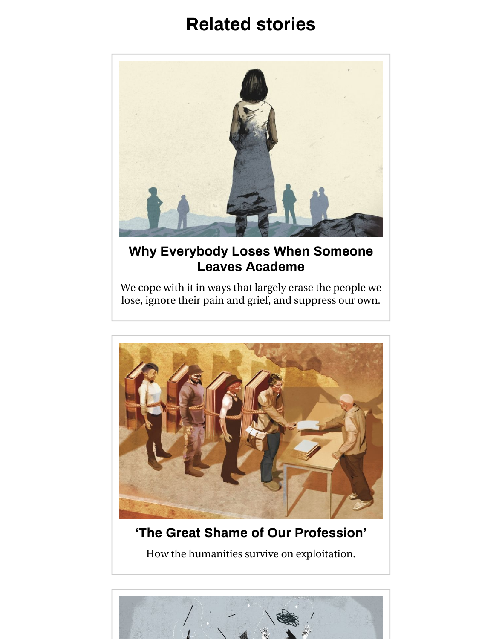

#### **[Why Everybody Loses When Someone](https://www.chronicle.com/article/Why-Everybody-Loses-When/242560) Leaves Academe**

We cope with it in ways that largely erase the people we lose, ignore their pain and grief, and suppress our own.



### **['The Great Shame of Our Profession'](https://www.chronicle.com/article/The-Great-Shame-of-Our/239148)**

How the humanities survive on exploitation.